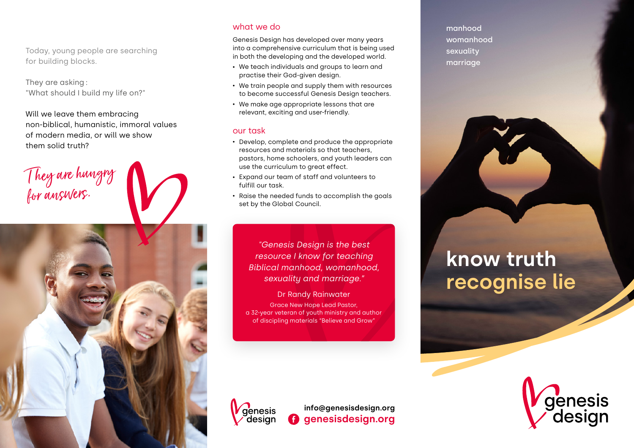Today, young people are searching for building blocks.

They are asking : "What should I build my life on?"

Will we leave them embracing non-biblical, humanistic, immoral values of modern media, or will we show them solid truth?

## T hey are hungry foranswers.



## what we do

Genesis Design has developed over many years into a comprehensive curriculum that is being used in both the developing and the developed world.

- We teach individuals and groups to learn and practise their God-given design.
- We train people and supply them with resources to become successful Genesis Design teachers.
- We make age appropriate lessons that are relevant, exciting and user-friendly.

## our task

- Develop, complete and produce the appropriate resources and materials so that teachers, pastors, home schoolers, and youth leaders can use the curriculum to great effect.
- Expand our team of staff and volunteers to fulfill our task.
- Raise the needed funds to accomplish the goals set by the Global Council.

*"Genesis Design is the best resource I know for teaching Biblical manhood, womanhood, sexuality and marriage."*

Dr Randy Rainwater Grace New Hope Lead Pastor, a 32-year veteran of youth ministry and author of discipling materials "Believe and Grow"

manhood womanhood sexuality marriage

# **know truth recognise lie**